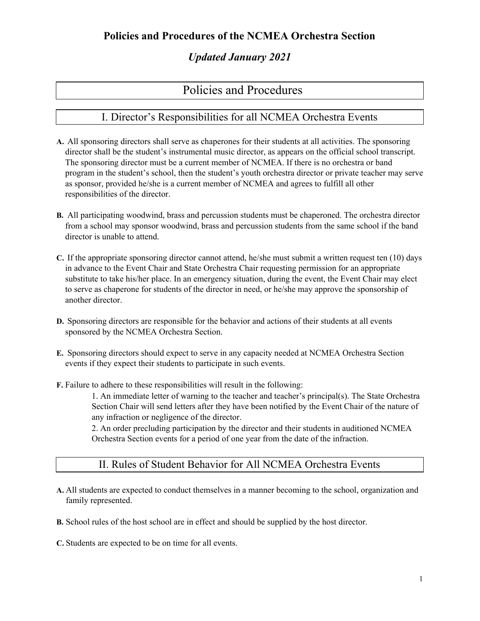# *Updated January 2021*

# Policies and Procedures

# I. Director's Responsibilities for all NCMEA Orchestra Events

- **A.** All sponsoring directors shall serve as chaperones for their students at all activities. The sponsoring director shall be the student's instrumental music director, as appears on the official school transcript. The sponsoring director must be a current member of NCMEA. If there is no orchestra or band program in the student's school, then the student's youth orchestra director or private teacher may serve as sponsor, provided he/she is a current member of NCMEA and agrees to fulfill all other responsibilities of the director.
- **B.** All participating woodwind, brass and percussion students must be chaperoned. The orchestra director from a school may sponsor woodwind, brass and percussion students from the same school if the band director is unable to attend.
- **C.** If the appropriate sponsoring director cannot attend, he/she must submit a written request ten (10) days in advance to the Event Chair and State Orchestra Chair requesting permission for an appropriate substitute to take his/her place. In an emergency situation, during the event, the Event Chair may elect to serve as chaperone for students of the director in need, or he/she may approve the sponsorship of another director.
- **D.** Sponsoring directors are responsible for the behavior and actions of their students at all events sponsored by the NCMEA Orchestra Section.
- **E.** Sponsoring directors should expect to serve in any capacity needed at NCMEA Orchestra Section events if they expect their students to participate in such events.
- **F.** Failure to adhere to these responsibilities will result in the following:

1. An immediate letter of warning to the teacher and teacher's principal(s). The State Orchestra Section Chair will send letters after they have been notified by the Event Chair of the nature of any infraction or negligence of the director.

2. An order precluding participation by the director and their students in auditioned NCMEA Orchestra Section events for a period of one year from the date of the infraction.

## II. Rules of Student Behavior for All NCMEA Orchestra Events

**A.** All students are expected to conduct themselves in a manner becoming to the school, organization and family represented.

**B.** School rules of the host school are in effect and should be supplied by the host director.

**C.** Students are expected to be on time for all events.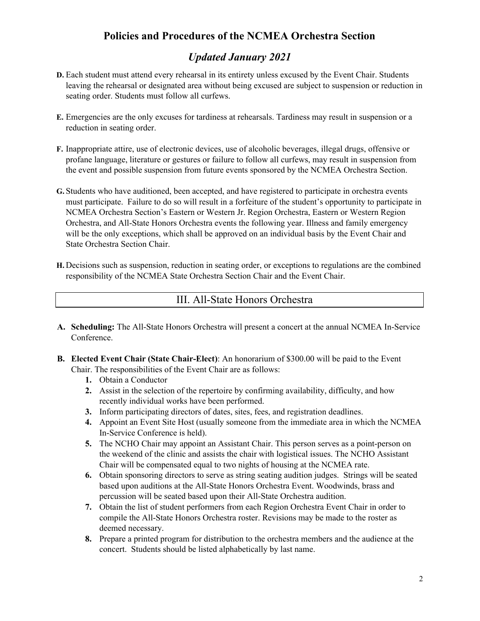# *Updated January 2021*

- **D.** Each student must attend every rehearsal in its entirety unless excused by the Event Chair. Students leaving the rehearsal or designated area without being excused are subject to suspension or reduction in seating order. Students must follow all curfews.
- **E.** Emergencies are the only excuses for tardiness at rehearsals. Tardiness may result in suspension or a reduction in seating order.
- **F.** Inappropriate attire, use of electronic devices, use of alcoholic beverages, illegal drugs, offensive or profane language, literature or gestures or failure to follow all curfews, may result in suspension from the event and possible suspension from future events sponsored by the NCMEA Orchestra Section.
- **G.** Students who have auditioned, been accepted, and have registered to participate in orchestra events must participate. Failure to do so will result in a forfeiture of the student's opportunity to participate in NCMEA Orchestra Section's Eastern or Western Jr. Region Orchestra, Eastern or Western Region Orchestra, and All-State Honors Orchestra events the following year. Illness and family emergency will be the only exceptions, which shall be approved on an individual basis by the Event Chair and State Orchestra Section Chair.
- **H.** Decisions such as suspension, reduction in seating order, or exceptions to regulations are the combined responsibility of the NCMEA State Orchestra Section Chair and the Event Chair.

## III. All-State Honors Orchestra

- **A. Scheduling:** The All-State Honors Orchestra will present a concert at the annual NCMEA In-Service Conference.
- **B. Elected Event Chair (State Chair-Elect)**: An honorarium of \$300.00 will be paid to the Event Chair. The responsibilities of the Event Chair are as follows:
	- **1.** Obtain a Conductor
	- **2.** Assist in the selection of the repertoire by confirming availability, difficulty, and how recently individual works have been performed.
	- **3.** Inform participating directors of dates, sites, fees, and registration deadlines.
	- **4.** Appoint an Event Site Host (usually someone from the immediate area in which the NCMEA In-Service Conference is held).
	- **5.** The NCHO Chair may appoint an Assistant Chair. This person serves as a point-person on the weekend of the clinic and assists the chair with logistical issues. The NCHO Assistant Chair will be compensated equal to two nights of housing at the NCMEA rate.
	- **6.** Obtain sponsoring directors to serve as string seating audition judges. Strings will be seated based upon auditions at the All-State Honors Orchestra Event. Woodwinds, brass and percussion will be seated based upon their All-State Orchestra audition.
	- **7.** Obtain the list of student performers from each Region Orchestra Event Chair in order to compile the All-State Honors Orchestra roster. Revisions may be made to the roster as deemed necessary.
	- **8.** Prepare a printed program for distribution to the orchestra members and the audience at the concert. Students should be listed alphabetically by last name.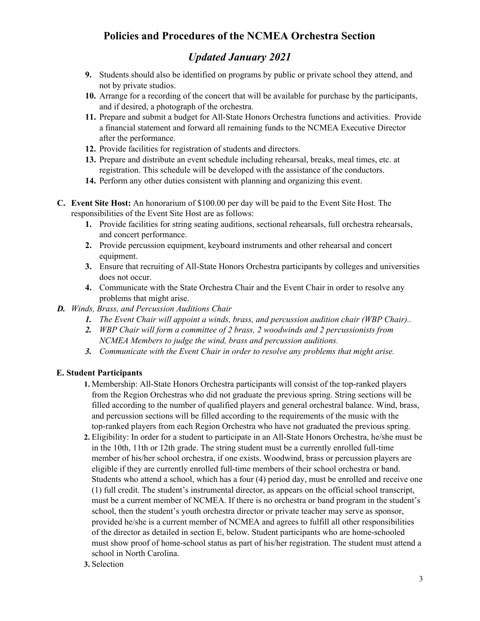# *Updated January 2021*

- **9.** Students should also be identified on programs by public or private school they attend, and not by private studios.
- **10.** Arrange for a recording of the concert that will be available for purchase by the participants, and if desired, a photograph of the orchestra.
- **11.** Prepare and submit a budget for All-State Honors Orchestra functions and activities. Provide a financial statement and forward all remaining funds to the NCMEA Executive Director after the performance.
- **12.** Provide facilities for registration of students and directors.
- **13.** Prepare and distribute an event schedule including rehearsal, breaks, meal times, etc. at registration. This schedule will be developed with the assistance of the conductors.
- **14.** Perform any other duties consistent with planning and organizing this event.
- **C. Event Site Host:** An honorarium of \$100.00 per day will be paid to the Event Site Host. The responsibilities of the Event Site Host are as follows:
	- **1.** Provide facilities for string seating auditions, sectional rehearsals, full orchestra rehearsals, and concert performance.
	- **2.** Provide percussion equipment, keyboard instruments and other rehearsal and concert equipment.
	- **3.** Ensure that recruiting of All-State Honors Orchestra participants by colleges and universities does not occur.
	- **4.** Communicate with the State Orchestra Chair and the Event Chair in order to resolve any problems that might arise.
- *D. Winds, Brass, and Percussion Auditions Chair*
	- *1. The Event Chair will appoint a winds, brass, and percussion audition chair (WBP Chair)..*
	- *2. WBP Chair will form a committee of 2 brass, 2 woodwinds and 2 percussionists from NCMEA Members to judge the wind, brass and percussion auditions.*
	- *3. Communicate with the Event Chair in order to resolve any problems that might arise.*

## **E. Student Participants**

- **1.** Membership: All-State Honors Orchestra participants will consist of the top-ranked players from the Region Orchestras who did not graduate the previous spring. String sections will be filled according to the number of qualified players and general orchestral balance. Wind, brass, and percussion sections will be filled according to the requirements of the music with the top-ranked players from each Region Orchestra who have not graduated the previous spring.
- **2.** Eligibility: In order for a student to participate in an All-State Honors Orchestra, he/she must be in the 10th, 11th or 12th grade. The string student must be a currently enrolled full-time member of his/her school orchestra, if one exists. Woodwind, brass or percussion players are eligible if they are currently enrolled full-time members of their school orchestra or band. Students who attend a school, which has a four (4) period day, must be enrolled and receive one (1) full credit. The student's instrumental director, as appears on the official school transcript, must be a current member of NCMEA. If there is no orchestra or band program in the student's school, then the student's youth orchestra director or private teacher may serve as sponsor, provided he/she is a current member of NCMEA and agrees to fulfill all other responsibilities of the director as detailed in section E, below. Student participants who are home-schooled must show proof of home-school status as part of his/her registration. The student must attend a school in North Carolina.
- **3.** Selection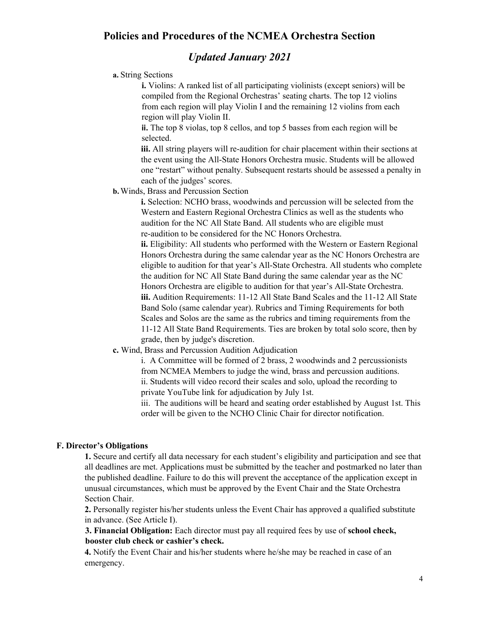## *Updated January 2021*

#### **a.** String Sections

**i.** Violins: A ranked list of all participating violinists (except seniors) will be compiled from the Regional Orchestras' seating charts. The top 12 violins from each region will play Violin I and the remaining 12 violins from each region will play Violin II.

**ii.** The top 8 violas, top 8 cellos, and top 5 basses from each region will be selected.

**iii.** All string players will re-audition for chair placement within their sections at the event using the All-State Honors Orchestra music. Students will be allowed one "restart" without penalty. Subsequent restarts should be assessed a penalty in each of the judges' scores.

**b.**Winds, Brass and Percussion Section

**i.** Selection: NCHO brass, woodwinds and percussion will be selected from the Western and Eastern Regional Orchestra Clinics as well as the students who audition for the NC All State Band. All students who are eligible must re-audition to be considered for the NC Honors Orchestra.

**ii.** Eligibility: All students who performed with the Western or Eastern Regional Honors Orchestra during the same calendar year as the NC Honors Orchestra are eligible to audition for that year's All-State Orchestra. All students who complete the audition for NC All State Band during the same calendar year as the NC Honors Orchestra are eligible to audition for that year's All-State Orchestra. **iii.** Audition Requirements: 11-12 All State Band Scales and the 11-12 All State Band Solo (same calendar year). Rubrics and Timing Requirements for both Scales and Solos are the same as the rubrics and timing requirements from the 11-12 All State Band Requirements. Ties are broken by total solo score, then by grade, then by judge's discretion.

**c.** Wind, Brass and Percussion Audition Adjudication

i. A Committee will be formed of 2 brass, 2 woodwinds and 2 percussionists from NCMEA Members to judge the wind, brass and percussion auditions. ii. Students will video record their scales and solo, upload the recording to private YouTube link for adjudication by July 1st.

iii. The auditions will be heard and seating order established by August 1st. This order will be given to the NCHO Clinic Chair for director notification.

#### **F. Director's Obligations**

**1.** Secure and certify all data necessary for each student's eligibility and participation and see that all deadlines are met. Applications must be submitted by the teacher and postmarked no later than the published deadline. Failure to do this will prevent the acceptance of the application except in unusual circumstances, which must be approved by the Event Chair and the State Orchestra Section Chair.

**2.** Personally register his/her students unless the Event Chair has approved a qualified substitute in advance. (See Article I).

**3. Financial Obligation:** Each director must pay all required fees by use of **school check, booster club check or cashier's check.**

**4.** Notify the Event Chair and his/her students where he/she may be reached in case of an emergency.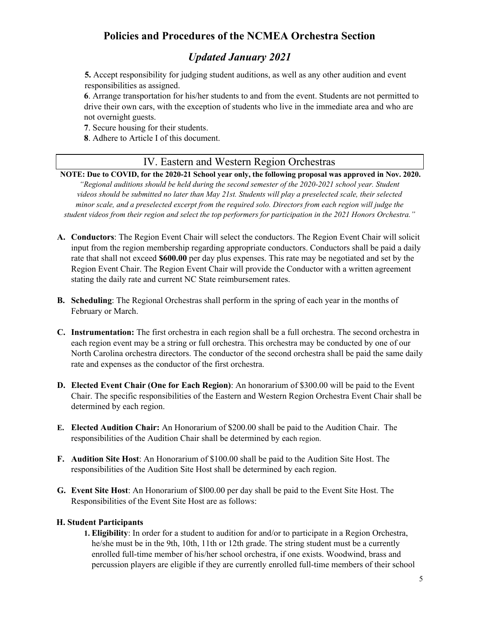# *Updated January 2021*

**5.** Accept responsibility for judging student auditions, as well as any other audition and event responsibilities as assigned.

**6**. Arrange transportation for his/her students to and from the event. Students are not permitted to drive their own cars, with the exception of students who live in the immediate area and who are not overnight guests.

**7**. Secure housing for their students.

**8**. Adhere to Article I of this document.

## IV. Eastern and Western Region Orchestras

NOTE: Due to COVID, for the 2020-21 School year only, the following proposal was approved in Nov. 2020. *"Regional auditions should be held during the second semester of the 2020-2021 school year. Student videos should be submitted no later than May 21st. Students will play a preselected scale, their selected minor scale, and a preselected excerpt from the required solo. Directors from each region will judge the* student videos from their region and select the top performers for participation in the 2021 Honors Orchestra."

- **A. Conductors**: The Region Event Chair will select the conductors. The Region Event Chair will solicit input from the region membership regarding appropriate conductors. Conductors shall be paid a daily rate that shall not exceed **\$600.00** per day plus expenses. This rate may be negotiated and set by the Region Event Chair. The Region Event Chair will provide the Conductor with a written agreement stating the daily rate and current NC State reimbursement rates.
- **B. Scheduling**: The Regional Orchestras shall perform in the spring of each year in the months of February or March.
- **C. Instrumentation:** The first orchestra in each region shall be a full orchestra. The second orchestra in each region event may be a string or full orchestra. This orchestra may be conducted by one of our North Carolina orchestra directors. The conductor of the second orchestra shall be paid the same daily rate and expenses as the conductor of the first orchestra.
- **D. Elected Event Chair (One for Each Region)**: An honorarium of \$300.00 will be paid to the Event Chair. The specific responsibilities of the Eastern and Western Region Orchestra Event Chair shall be determined by each region.
- **E. Elected Audition Chair:** An Honorarium of \$200.00 shall be paid to the Audition Chair. The responsibilities of the Audition Chair shall be determined by each region.
- **F. Audition Site Host**: An Honorarium of \$100.00 shall be paid to the Audition Site Host. The responsibilities of the Audition Site Host shall be determined by each region.
- **G. Event Site Host**: An Honorarium of \$l00.00 per day shall be paid to the Event Site Host. The Responsibilities of the Event Site Host are as follows:

#### **H. Student Participants**

**1. Eligibility**: In order for a student to audition for and/or to participate in a Region Orchestra, he/she must be in the 9th, 10th, 11th or 12th grade. The string student must be a currently enrolled full-time member of his/her school orchestra, if one exists. Woodwind, brass and percussion players are eligible if they are currently enrolled full-time members of their school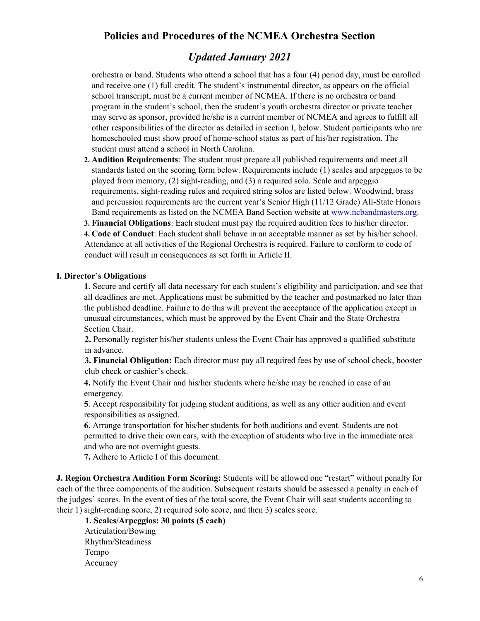## *Updated January 2021*

orchestra or band. Students who attend a school that has a four (4) period day, must be enrolled and receive one (1) full credit. The student's instrumental director, as appears on the official school transcript, must be a current member of NCMEA. If there is no orchestra or band program in the student's school, then the student's youth orchestra director or private teacher may serve as sponsor, provided he/she is a current member of NCMEA and agrees to fulfill all other responsibilities of the director as detailed in section I, below. Student participants who are homeschooled must show proof of home-school status as part of his/her registration. The student must attend a school in North Carolina.

**2. Audition Requirements**: The student must prepare all published requirements and meet all standards listed on the scoring form below. Requirements include (1) scales and arpeggios to be played from memory, (2) sight-reading, and (3) a required solo. Scale and arpeggio requirements, sight-reading rules and required string solos are listed below. Woodwind, brass and percussion requirements are the current year's Senior High (11/12 Grade) All-State Honors Band requirements as listed on the NCMEA Band Section website at www.ncbandmasters.org.

**3. Financial Obligations**: Each student must pay the required audition fees to his/her director. **4. Code of Conduct**: Each student shall behave in an acceptable manner as set by his/her school. Attendance at all activities of the Regional Orchestra is required. Failure to conform to code of conduct will result in consequences as set forth in Article II.

### **I. Director's Obligations**

**1.** Secure and certify all data necessary for each student's eligibility and participation, and see that all deadlines are met. Applications must be submitted by the teacher and postmarked no later than the published deadline. Failure to do this will prevent the acceptance of the application except in unusual circumstances, which must be approved by the Event Chair and the State Orchestra Section Chair.

**2.** Personally register his/her students unless the Event Chair has approved a qualified substitute in advance.

**3. Financial Obligation:** Each director must pay all required fees by use of school check, booster club check or cashier's check.

**4.** Notify the Event Chair and his/her students where he/she may be reached in case of an emergency.

**5**. Accept responsibility for judging student auditions, as well as any other audition and event responsibilities as assigned.

**6**. Arrange transportation for his/her students for both auditions and event. Students are not permitted to drive their own cars, with the exception of students who live in the immediate area and who are not overnight guests.

**7.** Adhere to Article I of this document.

**J. Region Orchestra Audition Form Scoring:** Students will be allowed one "restart" without penalty for each of the three components of the audition. Subsequent restarts should be assessed a penalty in each of the judges' scores. In the event of ties of the total score, the Event Chair will seat students according to their 1) sight-reading score, 2) required solo score, and then 3) scales score.

**1. Scales/Arpeggios: 30 points (5 each)** Articulation/Bowing Rhythm/Steadiness Tempo Accuracy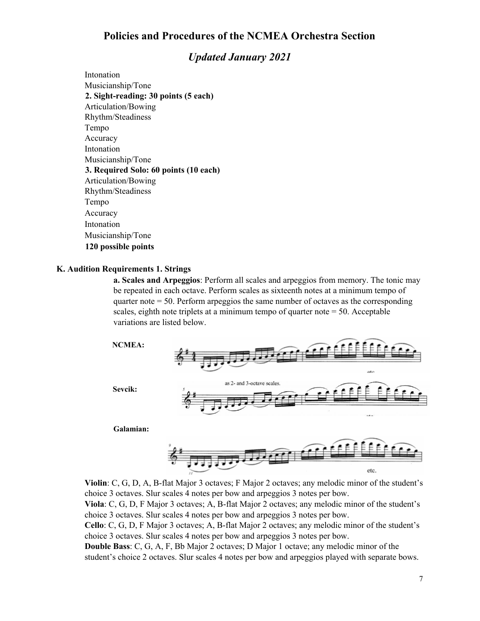## *Updated January 2021*

Intonation Musicianship/Tone **2. Sight-reading: 30 points (5 each)** Articulation/Bowing Rhythm/Steadiness Tempo Accuracy Intonation Musicianship/Tone **3. Required Solo: 60 points (10 each)** Articulation/Bowing Rhythm/Steadiness Tempo Accuracy Intonation Musicianship/Tone **120 possible points**

#### **K. Audition Requirements 1. Strings**

**a. Scales and Arpeggios**: Perform all scales and arpeggios from memory. The tonic may be repeated in each octave. Perform scales as sixteenth notes at a minimum tempo of quarter note = 50. Perform arpeggios the same number of octaves as the corresponding scales, eighth note triplets at a minimum tempo of quarter note  $= 50$ . Acceptable variations are listed below.



**Violin**: C, G, D, A, B-flat Major 3 octaves; F Major 2 octaves; any melodic minor of the student's choice 3 octaves. Slur scales 4 notes per bow and arpeggios 3 notes per bow. **Viola**: C, G, D, F Major 3 octaves; A, B-flat Major 2 octaves; any melodic minor of the student's choice 3 octaves. Slur scales 4 notes per bow and arpeggios 3 notes per bow.

**Cello**: C, G, D, F Major 3 octaves; A, B-flat Major 2 octaves; any melodic minor of the student's choice 3 octaves. Slur scales 4 notes per bow and arpeggios 3 notes per bow.

**Double Bass**: C, G, A, F, Bb Major 2 octaves; D Major 1 octave; any melodic minor of the student's choice 2 octaves. Slur scales 4 notes per bow and arpeggios played with separate bows.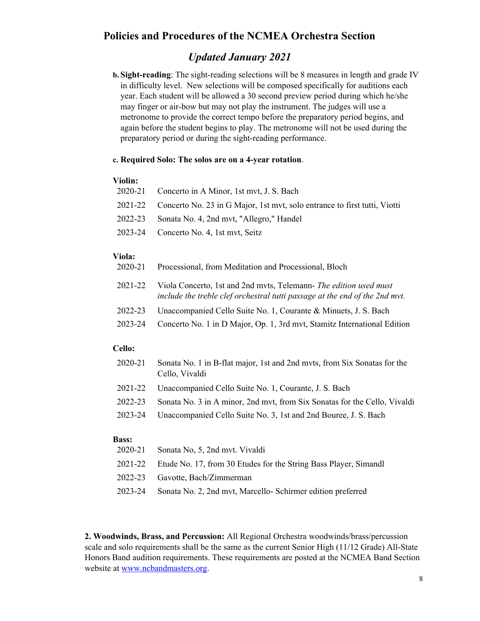## *Updated January 2021*

**b. Sight-reading**: The sight-reading selections will be 8 measures in length and grade IV in difficulty level. New selections will be composed specifically for auditions each year. Each student will be allowed a 30 second preview period during which he/she may finger or air-bow but may not play the instrument. The judges will use a metronome to provide the correct tempo before the preparatory period begins, and again before the student begins to play. The metronome will not be used during the preparatory period or during the sight-reading performance.

#### **c. Required Solo: The solos are on a 4-year rotation**.

#### **Violin:**

| 2020-21 Concerto in A Minor, 1st myt, J. S. Bach                                  |
|-----------------------------------------------------------------------------------|
| 2021-22 Concerto No. 23 in G Major, 1st myt, solo entrance to first tutti, Viotti |
| 2022-23 Sonata No. 4, 2nd myt, "Allegro," Handel                                  |
| 2023-24 Concerto No. 4, 1st myt, Seitz                                            |
|                                                                                   |

#### **Viola:**

| 2020-21 |  | Processional, from Meditation and Processional, Bloch |  |  |
|---------|--|-------------------------------------------------------|--|--|
|---------|--|-------------------------------------------------------|--|--|

- 2021-22 Viola Concerto, 1st and 2nd mvts, Telemann- *The edition used must include the treble clef orchestral tutti passage at the end of the 2nd mvt.*
- 2022-23 Unaccompanied Cello Suite No. 1, Courante & Minuets, J. S. Bach
- 2023-24 Concerto No. 1 in D Major, Op. 1, 3rd mvt, Stamitz International Edition

#### **Cello:**

| 2020-21 Sonata No. 1 in B-flat major, 1st and 2nd myts, from Six Sonatas for the |
|----------------------------------------------------------------------------------|
| Cello, Vivaldi                                                                   |

- 2021-22 Unaccompanied Cello Suite No. 1, Courante, J. S. Bach
- 2022-23 Sonata No. 3 in A minor, 2nd mvt, from Six Sonatas for the Cello, Vivaldi
- 2023-24 Unaccompanied Cello Suite No. 3, 1st and 2nd Bouree, J. S. Bach

### **Bass:**

- 2020-21 Sonata No, 5, 2nd mvt. Vivaldi
- 2021-22 Etude No. 17, from 30 Etudes for the String Bass Player, Simandl
- 2022-23 Gavotte, Bach/Zimmerman
- 2023-24 Sonata No. 2, 2nd mvt, Marcello- Schirmer edition preferred

**2. Woodwinds, Brass, and Percussion:** All Regional Orchestra woodwinds/brass/percussion scale and solo requirements shall be the same as the current Senior High (11/12 Grade) All-State Honors Band audition requirements. These requirements are posted at the NCMEA Band Section website at [www.ncbandmasters.org.](http://www.ncbandmasters.org/)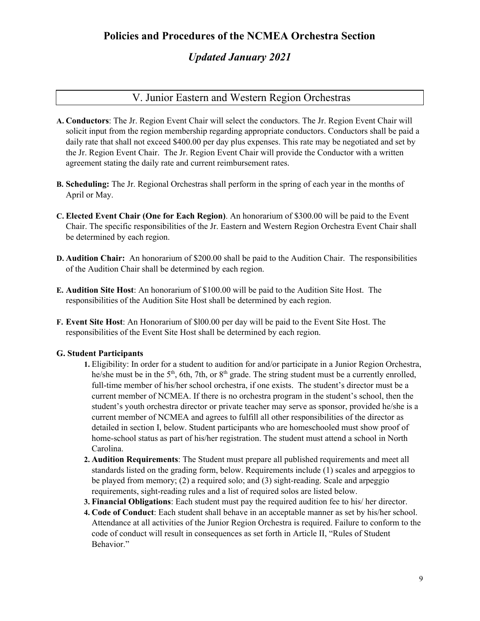# *Updated January 2021*

# V. Junior Eastern and Western Region Orchestras

- **A. Conductors**: The Jr. Region Event Chair will select the conductors. The Jr. Region Event Chair will solicit input from the region membership regarding appropriate conductors. Conductors shall be paid a daily rate that shall not exceed \$400.00 per day plus expenses. This rate may be negotiated and set by the Jr. Region Event Chair. The Jr. Region Event Chair will provide the Conductor with a written agreement stating the daily rate and current reimbursement rates.
- **B. Scheduling:** The Jr. Regional Orchestras shall perform in the spring of each year in the months of April or May.
- **C. Elected Event Chair (One for Each Region)**. An honorarium of \$300.00 will be paid to the Event Chair. The specific responsibilities of the Jr. Eastern and Western Region Orchestra Event Chair shall be determined by each region.
- **D. Audition Chair:** An honorarium of \$200.00 shall be paid to the Audition Chair. The responsibilities of the Audition Chair shall be determined by each region.
- **E. Audition Site Host**: An honorarium of \$100.00 will be paid to the Audition Site Host. The responsibilities of the Audition Site Host shall be determined by each region.
- **F. Event Site Host**: An Honorarium of \$l00.00 per day will be paid to the Event Site Host. The responsibilities of the Event Site Host shall be determined by each region.

#### **G. Student Participants**

- **1.** Eligibility: In order for a student to audition for and/or participate in a Junior Region Orchestra, he/she must be in the  $5<sup>th</sup>$ , 6th, 7th, or  $8<sup>th</sup>$  grade. The string student must be a currently enrolled, full-time member of his/her school orchestra, if one exists. The student's director must be a current member of NCMEA. If there is no orchestra program in the student's school, then the student's youth orchestra director or private teacher may serve as sponsor, provided he/she is a current member of NCMEA and agrees to fulfill all other responsibilities of the director as detailed in section I, below. Student participants who are homeschooled must show proof of home-school status as part of his/her registration. The student must attend a school in North Carolina.
- **2. Audition Requirements**: The Student must prepare all published requirements and meet all standards listed on the grading form, below. Requirements include (1) scales and arpeggios to be played from memory; (2) a required solo; and (3) sight-reading. Scale and arpeggio requirements, sight-reading rules and a list of required solos are listed below.
- **3. Financial Obligations**: Each student must pay the required audition fee to his/ her director.
- **4. Code of Conduct**: Each student shall behave in an acceptable manner as set by his/her school. Attendance at all activities of the Junior Region Orchestra is required. Failure to conform to the code of conduct will result in consequences as set forth in Article II, "Rules of Student Behavior."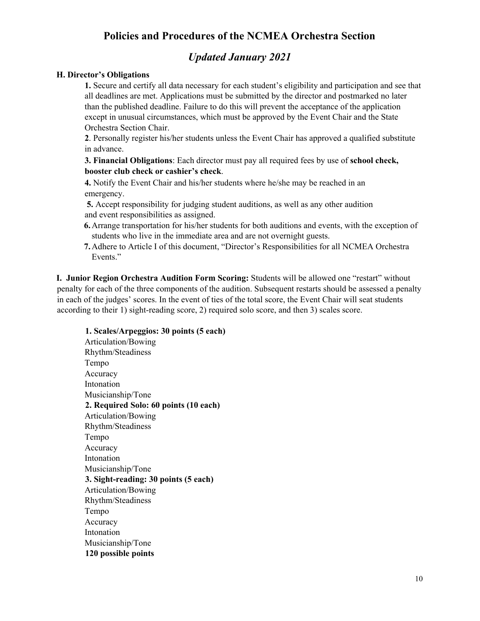# *Updated January 2021*

### **H. Director's Obligations**

**1.** Secure and certify all data necessary for each student's eligibility and participation and see that all deadlines are met. Applications must be submitted by the director and postmarked no later than the published deadline. Failure to do this will prevent the acceptance of the application except in unusual circumstances, which must be approved by the Event Chair and the State Orchestra Section Chair.

**2**. Personally register his/her students unless the Event Chair has approved a qualified substitute in advance.

**3. Financial Obligations**: Each director must pay all required fees by use of **school check, booster club check or cashier's check**.

**4.** Notify the Event Chair and his/her students where he/she may be reached in an emergency.

**5.** Accept responsibility for judging student auditions, as well as any other audition and event responsibilities as assigned.

- **6.**Arrange transportation for his/her students for both auditions and events, with the exception of students who live in the immediate area and are not overnight guests.
- **7.**Adhere to Article I of this document, "Director's Responsibilities for all NCMEA Orchestra Events."

**I. Junior Region Orchestra Audition Form Scoring:** Students will be allowed one "restart" without penalty for each of the three components of the audition. Subsequent restarts should be assessed a penalty in each of the judges' scores. In the event of ties of the total score, the Event Chair will seat students according to their 1) sight-reading score, 2) required solo score, and then 3) scales score.

# **1. Scales/Arpeggios: 30 points (5 each)**

Articulation/Bowing Rhythm/Steadiness Tempo Accuracy Intonation Musicianship/Tone **2. Required Solo: 60 points (10 each)** Articulation/Bowing Rhythm/Steadiness Tempo Accuracy Intonation Musicianship/Tone **3. Sight-reading: 30 points (5 each)** Articulation/Bowing Rhythm/Steadiness Tempo Accuracy Intonation Musicianship/Tone **120 possible points**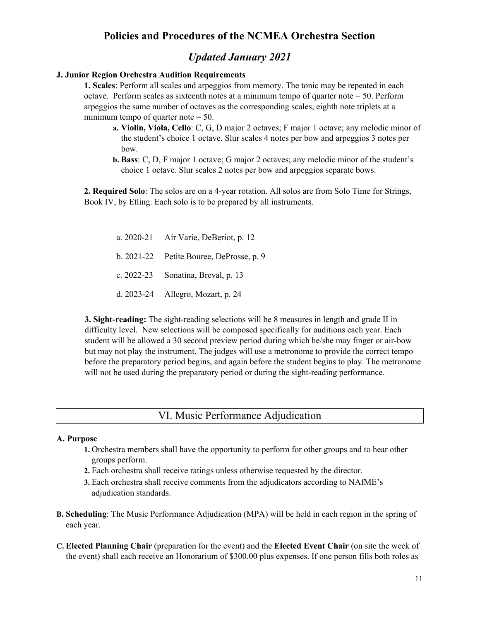## *Updated January 2021*

### **J. Junior Region Orchestra Audition Requirements**

**1. Scales**: Perform all scales and arpeggios from memory. The tonic may be repeated in each octave. Perform scales as sixteenth notes at a minimum tempo of quarter note = 50. Perform arpeggios the same number of octaves as the corresponding scales, eighth note triplets at a minimum tempo of quarter note  $= 50$ .

- **a. Violin, Viola, Cello**: C, G, D major 2 octaves; F major 1 octave; any melodic minor of the student's choice 1 octave. Slur scales 4 notes per bow and arpeggios 3 notes per bow.
- **b. Bass**: C, D, F major 1 octave; G major 2 octaves; any melodic minor of the student's choice 1 octave. Slur scales 2 notes per bow and arpeggios separate bows.

**2. Required Solo**: The solos are on a 4-year rotation. All solos are from Solo Time for Strings, Book IV, by Etling. Each solo is to be prepared by all instruments.

a. 2020-21 Air Varie, DeBeriot, p. 12 b. 2021-22 Petite Bouree, DeProsse, p. 9 c. 2022-23 Sonatina, Breval, p. 13 d. 2023-24 Allegro, Mozart, p. 24

**3. Sight-reading:** The sight-reading selections will be 8 measures in length and grade II in difficulty level. New selections will be composed specifically for auditions each year. Each student will be allowed a 30 second preview period during which he/she may finger or air-bow but may not play the instrument. The judges will use a metronome to provide the correct tempo before the preparatory period begins, and again before the student begins to play. The metronome will not be used during the preparatory period or during the sight-reading performance.

## VI. Music Performance Adjudication

#### **A. Purpose**

- **1.** Orchestra members shall have the opportunity to perform for other groups and to hear other groups perform.
- **2.** Each orchestra shall receive ratings unless otherwise requested by the director.
- **3.** Each orchestra shall receive comments from the adjudicators according to NAfME's adjudication standards.
- **B. Scheduling**: The Music Performance Adjudication (MPA) will be held in each region in the spring of each year.
- **C. Elected Planning Chair** (preparation for the event) and the **Elected Event Chair** (on site the week of the event) shall each receive an Honorarium of \$300.00 plus expenses. If one person fills both roles as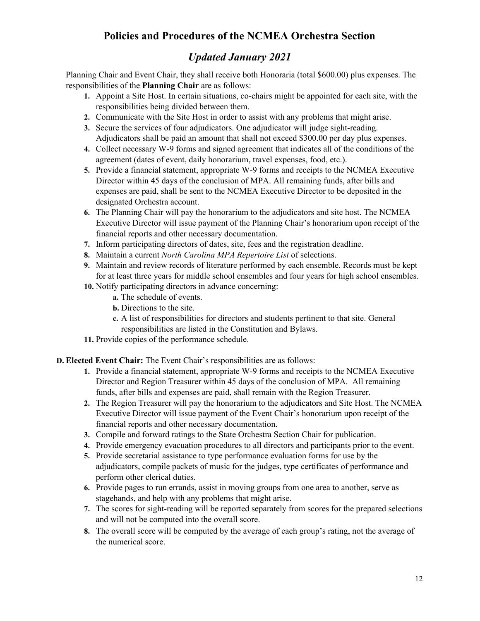# *Updated January 2021*

Planning Chair and Event Chair, they shall receive both Honoraria (total \$600.00) plus expenses. The responsibilities of the **Planning Chair** are as follows:

- **1.** Appoint a Site Host. In certain situations, co-chairs might be appointed for each site, with the responsibilities being divided between them.
- **2.** Communicate with the Site Host in order to assist with any problems that might arise.
- **3.** Secure the services of four adjudicators. One adjudicator will judge sight-reading. Adjudicators shall be paid an amount that shall not exceed \$300.00 per day plus expenses.
- **4.** Collect necessary W-9 forms and signed agreement that indicates all of the conditions of the agreement (dates of event, daily honorarium, travel expenses, food, etc.).
- **5.** Provide a financial statement, appropriate W-9 forms and receipts to the NCMEA Executive Director within 45 days of the conclusion of MPA. All remaining funds, after bills and expenses are paid, shall be sent to the NCMEA Executive Director to be deposited in the designated Orchestra account.
- **6.** The Planning Chair will pay the honorarium to the adjudicators and site host. The NCMEA Executive Director will issue payment of the Planning Chair's honorarium upon receipt of the financial reports and other necessary documentation.
- **7.** Inform participating directors of dates, site, fees and the registration deadline.
- **8.** Maintain a current *North Carolina MPA Repertoire List* of selections.
- **9.** Maintain and review records of literature performed by each ensemble. Records must be kept for at least three years for middle school ensembles and four years for high school ensembles.
- **10.** Notify participating directors in advance concerning:
	- **a.** The schedule of events.
	- **b.** Directions to the site.
	- **c.** A list of responsibilities for directors and students pertinent to that site. General responsibilities are listed in the Constitution and Bylaws.
- **11.** Provide copies of the performance schedule.

**D. Elected Event Chair:** The Event Chair's responsibilities are as follows:

- **1.** Provide a financial statement, appropriate W-9 forms and receipts to the NCMEA Executive Director and Region Treasurer within 45 days of the conclusion of MPA. All remaining funds, after bills and expenses are paid, shall remain with the Region Treasurer.
- **2.** The Region Treasurer will pay the honorarium to the adjudicators and Site Host. The NCMEA Executive Director will issue payment of the Event Chair's honorarium upon receipt of the financial reports and other necessary documentation.
- **3.** Compile and forward ratings to the State Orchestra Section Chair for publication.
- **4.** Provide emergency evacuation procedures to all directors and participants prior to the event.
- **5.** Provide secretarial assistance to type performance evaluation forms for use by the adjudicators, compile packets of music for the judges, type certificates of performance and perform other clerical duties.
- **6.** Provide pages to run errands, assist in moving groups from one area to another, serve as stagehands, and help with any problems that might arise.
- **7.** The scores for sight-reading will be reported separately from scores for the prepared selections and will not be computed into the overall score.
- **8.** The overall score will be computed by the average of each group's rating, not the average of the numerical score.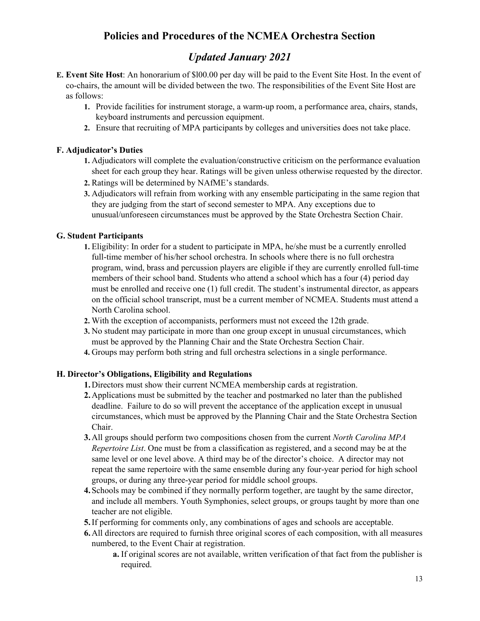# *Updated January 2021*

- **E. Event Site Host**: An honorarium of \$l00.00 per day will be paid to the Event Site Host. In the event of co-chairs, the amount will be divided between the two. The responsibilities of the Event Site Host are as follows:
	- **1.** Provide facilities for instrument storage, a warm-up room, a performance area, chairs, stands, keyboard instruments and percussion equipment.
	- **2.** Ensure that recruiting of MPA participants by colleges and universities does not take place.

## **F. Adjudicator's Duties**

- **1.** Adjudicators will complete the evaluation/constructive criticism on the performance evaluation sheet for each group they hear. Ratings will be given unless otherwise requested by the director.
- **2.** Ratings will be determined by NAfME's standards.
- **3.** Adjudicators will refrain from working with any ensemble participating in the same region that they are judging from the start of second semester to MPA. Any exceptions due to unusual/unforeseen circumstances must be approved by the State Orchestra Section Chair.

### **G. Student Participants**

- **1.** Eligibility: In order for a student to participate in MPA, he/she must be a currently enrolled full-time member of his/her school orchestra. In schools where there is no full orchestra program, wind, brass and percussion players are eligible if they are currently enrolled full-time members of their school band. Students who attend a school which has a four (4) period day must be enrolled and receive one (1) full credit. The student's instrumental director, as appears on the official school transcript, must be a current member of NCMEA. Students must attend a North Carolina school.
- **2.** With the exception of accompanists, performers must not exceed the 12th grade.
- **3.** No student may participate in more than one group except in unusual circumstances, which must be approved by the Planning Chair and the State Orchestra Section Chair.
- **4.** Groups may perform both string and full orchestra selections in a single performance.

#### **H. Director's Obligations, Eligibility and Regulations**

- **1.**Directors must show their current NCMEA membership cards at registration.
- **2.**Applications must be submitted by the teacher and postmarked no later than the published deadline. Failure to do so will prevent the acceptance of the application except in unusual circumstances, which must be approved by the Planning Chair and the State Orchestra Section Chair.
- **3.**All groups should perform two compositions chosen from the current *North Carolina MPA Repertoire List*. One must be from a classification as registered, and a second may be at the same level or one level above. A third may be of the director's choice. A director may not repeat the same repertoire with the same ensemble during any four-year period for high school groups, or during any three-year period for middle school groups.
- **4.**Schools may be combined if they normally perform together, are taught by the same director, and include all members. Youth Symphonies, select groups, or groups taught by more than one teacher are not eligible.
- **5.**If performing for comments only, any combinations of ages and schools are acceptable.
- **6.**All directors are required to furnish three original scores of each composition, with all measures numbered, to the Event Chair at registration.
	- **a.** If original scores are not available, written verification of that fact from the publisher is required.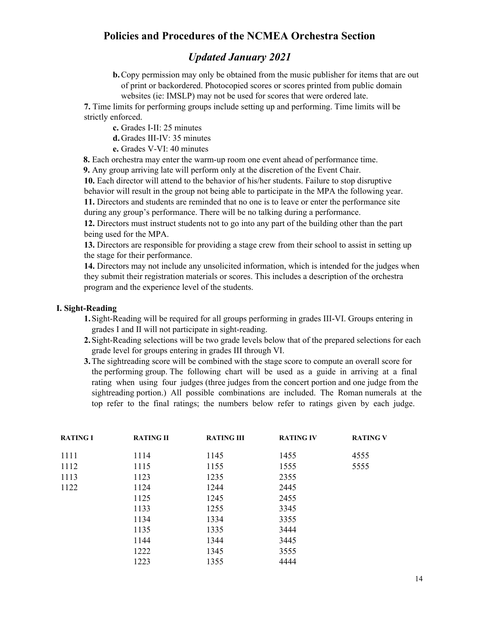## *Updated January 2021*

**b.** Copy permission may only be obtained from the music publisher for items that are out of print or backordered. Photocopied scores or scores printed from public domain websites (ie: IMSLP) may not be used for scores that were ordered late.

**7.** Time limits for performing groups include setting up and performing. Time limits will be strictly enforced.

**c.** Grades I-II: 25 minutes

**d.** Grades III-IV: 35 minutes

**e.** Grades V-VI: 40 minutes

**8.** Each orchestra may enter the warm-up room one event ahead of performance time.

**9.** Any group arriving late will perform only at the discretion of the Event Chair.

**10.** Each director will attend to the behavior of his/her students. Failure to stop disruptive behavior will result in the group not being able to participate in the MPA the following year. **11.** Directors and students are reminded that no one is to leave or enter the performance site during any group's performance. There will be no talking during a performance.

**12.** Directors must instruct students not to go into any part of the building other than the part being used for the MPA.

**13.** Directors are responsible for providing a stage crew from their school to assist in setting up the stage for their performance.

**14.** Directors may not include any unsolicited information, which is intended for the judges when they submit their registration materials or scores. This includes a description of the orchestra program and the experience level of the students.

#### **I. Sight-Reading**

- **1.**Sight-Reading will be required for all groups performing in grades III-VI. Groups entering in grades I and II will not participate in sight-reading.
- **2.**Sight-Reading selections will be two grade levels below that of the prepared selections for each grade level for groups entering in grades III through VI.
- **3.**The sightreading score will be combined with the stage score to compute an overall score for the performing group. The following chart will be used as a guide in arriving at a final rating when using four judges (three judges from the concert portion and one judge from the sightreading portion.) All possible combinations are included. The Roman numerals at the top refer to the final ratings; the numbers below refer to ratings given by each judge.

| <b>RATING I</b> | <b>RATING II</b> | <b>RATING III</b> | <b>RATING IV</b> | <b>RATING V</b> |
|-----------------|------------------|-------------------|------------------|-----------------|
| 1111            | 1114             | 1145              | 1455             | 4555            |
| 1112            | 1115             | 1155              | 1555             | 5555            |
| 1113            | 1123             | 1235              | 2355             |                 |
| 1122            | 1124             | 1244              | 2445             |                 |
|                 | 1125             | 1245              | 2455             |                 |
|                 | 1133             | 1255              | 3345             |                 |
|                 | 1134             | 1334              | 3355             |                 |
|                 | 1135             | 1335              | 3444             |                 |
|                 | 1144             | 1344              | 3445             |                 |
|                 | 1222             | 1345              | 3555             |                 |
|                 | 1223             | 1355              | 4444             |                 |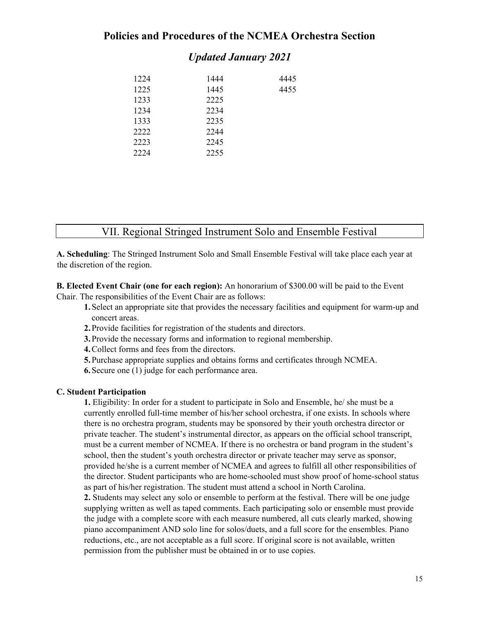## *Updated January 2021*

| 1224 | 1444 | 4445 |
|------|------|------|
| 1225 | 1445 | 4455 |
| 1233 | 2225 |      |
| 1234 | 2234 |      |
| 1333 | 2235 |      |
| 2222 | 2244 |      |
| 2223 | 2245 |      |
| 2224 | 2255 |      |

## VII. Regional Stringed Instrument Solo and Ensemble Festival

**A. Scheduling**: The Stringed Instrument Solo and Small Ensemble Festival will take place each year at the discretion of the region.

**B. Elected Event Chair (one for each region):** An honorarium of \$300.00 will be paid to the Event Chair. The responsibilities of the Event Chair are as follows:

- **1.**Select an appropriate site that provides the necessary facilities and equipment for warm-up and concert areas.
- **2.**Provide facilities for registration of the students and directors.
- **3.**Provide the necessary forms and information to regional membership.
- **4.**Collect forms and fees from the directors.
- **5.**Purchase appropriate supplies and obtains forms and certificates through NCMEA.
- **6.**Secure one (1) judge for each performance area.

#### **C. Student Participation**

**1.** Eligibility: In order for a student to participate in Solo and Ensemble, he/ she must be a currently enrolled full-time member of his/her school orchestra, if one exists. In schools where there is no orchestra program, students may be sponsored by their youth orchestra director or private teacher. The student's instrumental director, as appears on the official school transcript, must be a current member of NCMEA. If there is no orchestra or band program in the student's school, then the student's youth orchestra director or private teacher may serve as sponsor, provided he/she is a current member of NCMEA and agrees to fulfill all other responsibilities of the director. Student participants who are home-schooled must show proof of home-school status as part of his/her registration. The student must attend a school in North Carolina. **2.** Students may select any solo or ensemble to perform at the festival. There will be one judge

supplying written as well as taped comments. Each participating solo or ensemble must provide the judge with a complete score with each measure numbered, all cuts clearly marked, showing piano accompaniment AND solo line for solos/duets, and a full score for the ensembles. Piano reductions, etc., are not acceptable as a full score. If original score is not available, written permission from the publisher must be obtained in or to use copies.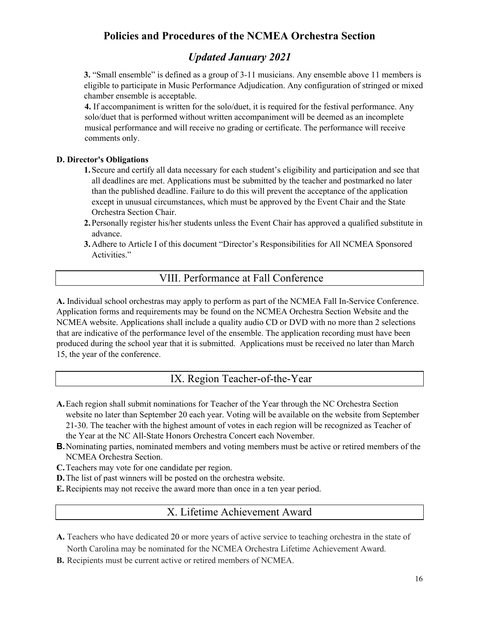# *Updated January 2021*

**3.** "Small ensemble" is defined as a group of 3-11 musicians. Any ensemble above 11 members is eligible to participate in Music Performance Adjudication. Any configuration of stringed or mixed chamber ensemble is acceptable.

**4.** If accompaniment is written for the solo/duet, it is required for the festival performance. Any solo/duet that is performed without written accompaniment will be deemed as an incomplete musical performance and will receive no grading or certificate. The performance will receive comments only.

## **D. Director's Obligations**

- **1.**Secure and certify all data necessary for each student's eligibility and participation and see that all deadlines are met. Applications must be submitted by the teacher and postmarked no later than the published deadline. Failure to do this will prevent the acceptance of the application except in unusual circumstances, which must be approved by the Event Chair and the State Orchestra Section Chair.
- **2.**Personally register his/her students unless the Event Chair has approved a qualified substitute in advance.
- **3.**Adhere to Article I of this document "Director's Responsibilities for All NCMEA Sponsored Activities."

# VIII. Performance at Fall Conference

**A.** Individual school orchestras may apply to perform as part of the NCMEA Fall In-Service Conference. Application forms and requirements may be found on the NCMEA Orchestra Section Website and the NCMEA website. Applications shall include a quality audio CD or DVD with no more than 2 selections that are indicative of the performance level of the ensemble. The application recording must have been produced during the school year that it is submitted. Applications must be received no later than March 15, the year of the conference.

# IX. Region Teacher-of-the-Year

- **A.**Each region shall submit nominations for Teacher of the Year through the NC Orchestra Section website no later than September 20 each year. Voting will be available on the website from September 21-30. The teacher with the highest amount of votes in each region will be recognized as Teacher of the Year at the NC All-State Honors Orchestra Concert each November.
- **B.**Nominating parties, nominated members and voting members must be active or retired members of the NCMEA Orchestra Section.
- **C.**Teachers may vote for one candidate per region.
- **D.**The list of past winners will be posted on the orchestra website.
- **E.** Recipients may not receive the award more than once in a ten year period.

## X. Lifetime Achievement Award

- **A.** Teachers who have dedicated 20 or more years of active service to teaching orchestra in the state of North Carolina may be nominated for the NCMEA Orchestra Lifetime Achievement Award.
- **B.** Recipients must be current active or retired members of NCMEA.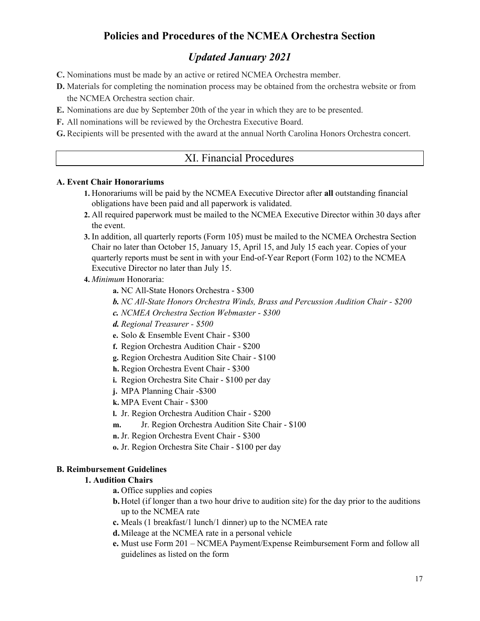# *Updated January 2021*

- **C.** Nominations must be made by an active or retired NCMEA Orchestra member.
- **D.** Materials for completing the nomination process may be obtained from the orchestra website or from the NCMEA Orchestra section chair.
- **E.** Nominations are due by September 20th of the year in which they are to be presented.
- **F.** All nominations will be reviewed by the Orchestra Executive Board.
- **G.** Recipients will be presented with the award at the annual North Carolina Honors Orchestra concert.

## XI. Financial Procedures

#### **A. Event Chair Honorariums**

- **1.** Honorariums will be paid by the NCMEA Executive Director after **all** outstanding financial obligations have been paid and all paperwork is validated.
- **2.** All required paperwork must be mailed to the NCMEA Executive Director within 30 days after the event.
- **3.** In addition, all quarterly reports (Form 105) must be mailed to the NCMEA Orchestra Section Chair no later than October 15, January 15, April 15, and July 15 each year. Copies of your quarterly reports must be sent in with your End-of-Year Report (Form 102) to the NCMEA Executive Director no later than July 15.

### **4.** *Minimum* Honoraria:

- **a.** NC All-State Honors Orchestra \$300
- *b. NC All-State Honors Orchestra Winds, Brass and Percussion Audition Chair - \$200*
- *c. NCMEA Orchestra Section Webmaster - \$300*
- *d. Regional Treasurer - \$500*
- **e.** Solo & Ensemble Event Chair \$300
- **f.** Region Orchestra Audition Chair \$200
- **g.** Region Orchestra Audition Site Chair \$100
- **h.** Region Orchestra Event Chair \$300
- **i.** Region Orchestra Site Chair \$100 per day
- **j.** MPA Planning Chair -\$300
- **k.** MPA Event Chair \$300
- **l.** Jr. Region Orchestra Audition Chair \$200
- **m.** Jr. Region Orchestra Audition Site Chair \$100
- **n.** Jr. Region Orchestra Event Chair \$300
- **o.** Jr. Region Orchestra Site Chair \$100 per day

### **B. Reimbursement Guidelines**

## **1. Audition Chairs**

- **a.** Office supplies and copies
- **b.** Hotel (if longer than a two hour drive to audition site) for the day prior to the auditions up to the NCMEA rate
- **c.** Meals (1 breakfast/1 lunch/1 dinner) up to the NCMEA rate
- **d.** Mileage at the NCMEA rate in a personal vehicle
- **e.** Must use Form 201 NCMEA Payment/Expense Reimbursement Form and follow all guidelines as listed on the form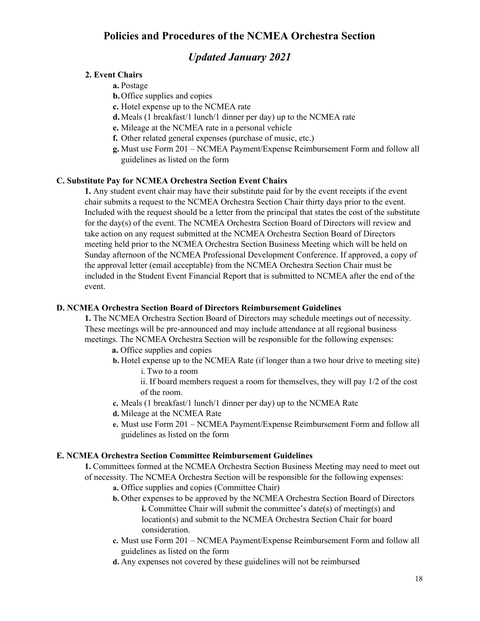## *Updated January 2021*

### **2. Event Chairs**

**a.** Postage

- **b.** Office supplies and copies
- **c.** Hotel expense up to the NCMEA rate
- **d.** Meals (1 breakfast/1 lunch/1 dinner per day) up to the NCMEA rate
- **e.** Mileage at the NCMEA rate in a personal vehicle
- **f.** Other related general expenses (purchase of music, etc.)
- **g.** Must use Form 201 NCMEA Payment/Expense Reimbursement Form and follow all guidelines as listed on the form

### **C. Substitute Pay for NCMEA Orchestra Section Event Chairs**

**1.** Any student event chair may have their substitute paid for by the event receipts if the event chair submits a request to the NCMEA Orchestra Section Chair thirty days prior to the event. Included with the request should be a letter from the principal that states the cost of the substitute for the day(s) of the event. The NCMEA Orchestra Section Board of Directors will review and take action on any request submitted at the NCMEA Orchestra Section Board of Directors meeting held prior to the NCMEA Orchestra Section Business Meeting which will be held on Sunday afternoon of the NCMEA Professional Development Conference. If approved, a copy of the approval letter (email acceptable) from the NCMEA Orchestra Section Chair must be included in the Student Event Financial Report that is submitted to NCMEA after the end of the event.

#### **D. NCMEA Orchestra Section Board of Directors Reimbursement Guidelines**

**1.** The NCMEA Orchestra Section Board of Directors may schedule meetings out of necessity. These meetings will be pre-announced and may include attendance at all regional business meetings. The NCMEA Orchestra Section will be responsible for the following expenses:

- **a.** Office supplies and copies
- **b.** Hotel expense up to the NCMEA Rate (if longer than a two hour drive to meeting site)
	- i. Two to a room
	- ii. If board members request a room for themselves, they will pay 1/2 of the cost of the room.
- **c.** Meals (1 breakfast/1 lunch/1 dinner per day) up to the NCMEA Rate
- **d.** Mileage at the NCMEA Rate
- **e.** Must use Form 201 NCMEA Payment/Expense Reimbursement Form and follow all guidelines as listed on the form

#### **E. NCMEA Orchestra Section Committee Reimbursement Guidelines**

**1.** Committees formed at the NCMEA Orchestra Section Business Meeting may need to meet out of necessity. The NCMEA Orchestra Section will be responsible for the following expenses:

- **a.** Office supplies and copies (Committee Chair)
- **b.** Other expenses to be approved by the NCMEA Orchestra Section Board of Directors **i.** Committee Chair will submit the committee's date(s) of meeting(s) and location(s) and submit to the NCMEA Orchestra Section Chair for board consideration.
- **c.** Must use Form 201 NCMEA Payment/Expense Reimbursement Form and follow all guidelines as listed on the form
- **d.** Any expenses not covered by these guidelines will not be reimbursed